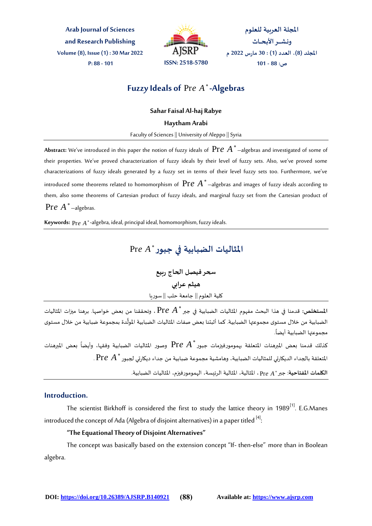**Arab Journal of Sciences and Research Publishing Volume (8), Issue (1) : 30 Mar 2022 P: 88 - 101 ISSN: 2518-5780**



المجلة العربية للعلوم **ونـشــــر األبـحــاث امللجةد )8(، العدد )1( : 30 مارس 2022 م ص: 88 - 101**

# **Fuzzy Ideals of**  Pr*e A* **-Algebras**

**Sahar Faisal Al-haj Rabye**

**Haytham Arabi**

Faculty of Sciences || University of Aleppo || Syria

**Abstract:** We've introduced in this paper the notion of fuzzy ideals of Pr*e A* –algebras and investigated of some of their properties. We've proved characterization of fuzzy ideals by their level of fuzzy sets. Also, we've proved some characterizations of fuzzy ideals generated by a fuzzy set in terms of their level fuzzy sets too. Furthermore, we've introduced some theorems related to homomorphism of Pr*e A* –algebras and images of fuzzy ideals according to them, also some theorems of Cartesian product of fuzzy ideals, and marginal fuzzy set from the Cartesian product of Pr*e A* –algebras.

**Keywords:**  Pr*e A* -algebra, ideal, principal ideal, homomorphism, fuzzy ideals.

المثاليات الضبابية <mark>في جبور</mark> \* Pr*e A* 

**سحرفيصل الحاج ربيع هيثم عرابي** <del>سينم عزابي</del><br>كلية العلوم <u>|</u>| جامعة حلب || سوريا

المستخلص: قدمنا في هذا البحث مفهوم المثاليات الضبابية في جبر \* Pr*e A* ، وتحققنا من بعض خواصها. برهنا ميزات المثاليات الضبابية من خلال مستوى مجموعتها الضبابية. كما أثبتنا بعض صفات المثاليات الضبابية المولَّدة بمجموعة ضبابية من خلال مستوى ์<br>∔ี . ً مجموعتها الضبابية أيضا

كذلك قدمنا بعض المبرهنات المتعلقة بهمومورفيزمات جبور \* Pr*e A* وصور المثاليات الضبابية وفقها، وأيضاً بعض المبرهنات ً<br>أ Pr*e A* املتعلقة بالجداء الديكارتي للمثاليات الضبابية، وهامشية مجموعة ضبابية من جداء ديكارتي لجبور . ا<mark>لكلمات المفتاحية: جبر \* Pr*e A* ، المثالية، المثالية الرئيسة، ال</mark>همومورفيزم، المثاليات الضبابية.

# **Introduction.**

The scientist Birkhoff is considered the first to study the lattice theory in  $1989^{[1]}$ . E.G.Manes introduced the concept of Ada (Algebra of disjoint alternatives) in a paper titled  $^{[4]}$ : :

### **"The Equational Theory of Disjoint Alternatives"**

The concept was basically based on the extension concept "If- then-else" more than in Boolean algebra.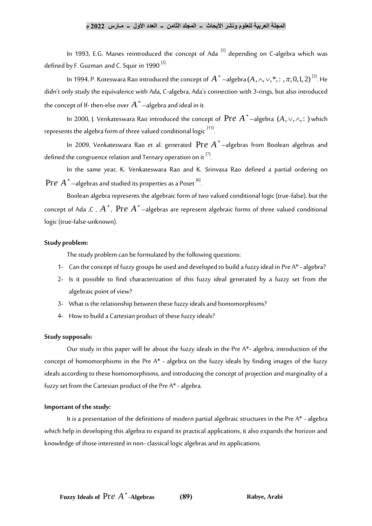### **المجلة العربية للعلوم ونشر األبحاث ــ المجلد الثامن ــ العدد األول ــ مـارس 2022 م**

In 1993, E.G. Manes reintroduced the concept of Ada<sup>[5]</sup> depending on C-algebra which was defined by F. Guzman and C. Squir in 1990 $^{[2]}$ 

In 1994, P. Koteswara Rao introduced the concept of  $\overline{A}^*$  –algebra  $(A, \wedge, \vee, ^*, :$  ,  $\pi, 0, 1, 2)$   $^{[3]}$ . He didn't only study the equivalence with Ada, C-algebra, Ada's connection with 3-rings, but also introduced the concept of If- then-else over  $A^{\,*}$  —algebra and ideal in it.

In 2000, J. Venkateswara Rao introduced the concept of  $\Pr{e \ A}^*$  –algebra  $(A, \vee, \wedge, \cdot)$  which represents the algebra form of three valued conditional logic [11]. .

In 2009, Venkateswara Rao et al. generated Pr*e A* –algebras from Boolean algebras and defined the congruence relation and Ternary operation on it  $^{[7]}$ . .

In the same year, K. Venkateswara Rao and K. Srinvasa Rao defined a partial ordering on  $\Pr e \bigl(A^*$  —algebras and studied its properties as a Poset  $^{[6]}$ .

Boolean algebra represents the algebraic form of two valued conditional logic (true-false), but the concept of Ada ,C ,  $A^*$  ,  $\mathop{\mathrm{Pre}}\nolimits A^*$ —algebras are represent algebraic forms of three valued conditional logic (true-false-unknown).

### **Study problem:**

The study problem can be formulated by the following questions:

- 1- Can the concept of fuzzy groups be used and developed to build a fuzzy ideal in Pre A\* algebra?
- 2- Is it possible to find characterization of this fuzzy ideal generated by a fuzzy set from the algebraic point of view?
- 3- What is the relationship between these fuzzy ideals and homomorphisms?
- 4- How to build a Cartesian product of these fuzzy ideals?

#### **Study supposals:**

Our study in this paper will be about the fuzzy ideals in the Pre A\*- algebra, introduction of the concept of homomorphisms in the Pre A\* - algebra on the fuzzy ideals by finding images of the fuzzy ideals according to these homomorphisms, and introducing the concept of projection and marginality of a fuzzy set from the Cartesian product of the Pre  $A^*$  - algebra.

#### **Important of the study:**

It is a presentation of the definitions of modern partial algebraic structures in the Pre A\* - algebra which help in developing this algebra to expand its practical applications, it also expands the horizon and knowledge of those interested in non-classical logic algebras and its applications.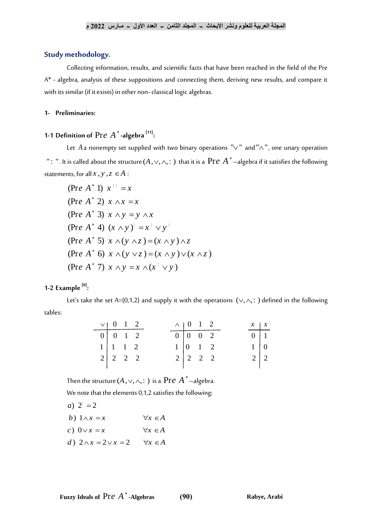### **Study methodology.**

Collecting information, results, and scientific facts that have been reached in the field of the Pre A\* - algebra, analysis of these suppositions and connecting them, deriving new results, and compare it with its similar (if it exists) in other non-classical logic algebras.

#### **1- Preliminaries:**

#### **1-1 Definition of**  Pr*e A* **-algebra [11] :**

Let  $A$  a nonempty set supplied with two binary operations " $\vee$ " and" $\wedge$ ", one unary operation " : ". It is called about the structure (A ,  $\vee,\wedge, \colon)$  that it is a  $\Pr{e \: A}^*$  —algebra if it satisfies the following statements, for all  $x$  ,  $y$  ,  $z \in A$  :

(Pre A<sup>\*</sup> 1)  $x$ <sup>::</sup> = x (Pre A<sup>\*</sup> 2)  $x \wedge x = x$ (Pre A<sup>\*</sup> 3)  $x \wedge y = y \wedge x$ (Pre A<sup>\*</sup> 4)  $(x \wedge y)^2 = x^2 \vee y^2$ (Pre A<sup>\*</sup> 5)  $x \wedge (y \wedge z) = (x \wedge y) \wedge z$ (Pre A<sup>\*</sup> 4)  $(x \wedge y) = x^2 \vee y^2$ <br>
(Pre A<sup>\*</sup> 5)  $x \wedge (y \wedge z) = (x \wedge y) \wedge z$ <br>
(Pre A<sup>\*</sup> 6)  $x \wedge (y \vee z) = (x \wedge y) \vee (x \wedge z)$ (Pre A<sup>\*</sup> 5)  $x \wedge (y \wedge z) = (x \wedge y) \wedge z$ <br>
(Pre A<sup>\*</sup> 6)  $x \wedge (y \vee z) = (x \wedge y) \vee (x \wedge z)$ <br>
(Pre A<sup>\*</sup> 7)  $x \wedge y = x \wedge (x^{\perp} \vee y)$ (Pre A<sup>\*</sup> 7)  $x \wedge y = x \wedge (x^{\perp} \vee y)$ 

#### **1-2 Example [6] :**

Let's take the set A={0,1,2} and supply it with the operations  $(\vee, \wedge, :)$  defined in the following tables:  $0$  1 2  $\bigwedge$  0 1 2  $x = \sqrt{0 + 2}$   $\sqrt{0 + 2}$   $\sqrt{0 + 2}$   $\sqrt{x}$ 

|  | $\vee$   0 1 2                                                          |  | $\wedge$   0   1   2                            |                                             |  |                                                          | $x \mid x^{\perp}$ |
|--|-------------------------------------------------------------------------|--|-------------------------------------------------|---------------------------------------------|--|----------------------------------------------------------|--------------------|
|  | $\begin{array}{ c c c c c } \hline 0 & 0 & 1 & 2 \\ \hline \end{array}$ |  | $\boxed{0}$ $\boxed{0}$ $\boxed{0}$ $\boxed{2}$ |                                             |  |                                                          |                    |
|  | $1 \mid 1 \mid 1 \mid 2$                                                |  | $1\vert 0\quad 1\quad 2$                        |                                             |  |                                                          |                    |
|  | $2 \begin{vmatrix} 2 & 2 & 2 \end{vmatrix}$                             |  |                                                 | $2 \begin{vmatrix} 2 & 2 & 2 \end{vmatrix}$ |  | $\begin{array}{c c} 0 & 1 \\ 1 & 0 \\ 2 & 2 \end{array}$ |                    |
|  |                                                                         |  |                                                 |                                             |  |                                                          |                    |

Then the structure (A ,  $\vee, \wedge, \colon$  ) is a  $\operatorname{Pre} A^*$  —algebra.

We note that the elements 0,1,2 satisfies the following:

- *a*)  $2^{2} = 2$
- 
- *b*)  $1 \wedge x = x$   $\forall x \in A$ <br> *c*)  $0 \vee x = x$   $\forall x \in A$ <br> *d*)  $2 \wedge x = 2 \vee x = 2$   $\forall x \in A$
-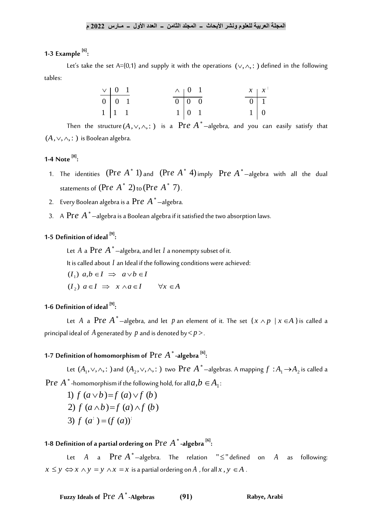#### **1-3 Example [6] :**

Let's take the set A={0,1} and supply it with the operations  $(\vee, \wedge, \cdot)$  defined in the following tables:

| $\begin{tabular}{c cc} $\vee$ & $0$ & $1$ \\ \hline $0$ & $0$ & $1$ \\ $1$ & $1$ & $1$ \end{tabular}$ |  |  | $\begin{tabular}{c cc} $\wedge$ & $0$ & $1$ \\ \hline $0$ & $0$ & $0$ \\ $1$ & $0$ & $1$ \\ \end{tabular}$ |  |  | $\begin{array}{c c} x & x \\ \hline 0 & 1 \\ 1 & 0 \end{array}$ |
|-------------------------------------------------------------------------------------------------------|--|--|------------------------------------------------------------------------------------------------------------|--|--|-----------------------------------------------------------------|
|                                                                                                       |  |  |                                                                                                            |  |  |                                                                 |
|                                                                                                       |  |  |                                                                                                            |  |  |                                                                 |

Then the structure  $(A,\vee,\wedge,:)$  is a  $\operatorname{Pre} A^*$ —algebra, and you can easily satisfy that  $(A, \vee, \wedge, : )$  is Boolean algebra.

#### **1-4 Note [8] :**

- 1. The identities  $(Pre \, A^* 1)$  and  $(Pre \, A^* 4)$  imply  $Pre \, A^*$  -algebra with all the dual statements of  $(Pre\,\,A^*\,\,2)$  to  $(Pre\,\,A^*\,\,7)$ .
- 2. Every Boolean algebra is a Pr*e A* –algebra.
- 3.  $\,$  A  $\, {\rm Pr}e \,$   $A\,$   $^*$   $-$ algebra is a Boolean algebra if it satisfied the two absorption laws.

#### **1-5 Definition of ideal [9] :**

Let  $A$  a  $\text{Pre } A^\ast$  —algebra, and let  $I$  a nonempty subset of it.

It is called about I an Ideal if the following conditions were achieved:

( $I_1$ )  $a,b \in I \implies a \vee b \in I$  $(I_1)$   $a,b \in I \Rightarrow a \vee b \in I$ <br>  $(I_2)$   $a \in I \Rightarrow x \wedge a \in I \qquad \forall x \in A$ 

#### **1-6 Definition of ideal [9] :**

Let  $A$  a  $\Pr e \; A^*$ —algebra, and let  $p$  an element of it. The set  $\{ x \wedge p \; \: | \: x \in A \;\}$ is called a principal ideal of  $A$  generated by  $p$  and is denoted by $<\!p\!>$ .

#### **1-7 Definition of homomorphism of**  Pr*e A* **-algebra [6] :**

Let  $(A_1, \vee, \wedge, :$  ) and  $(A_2, \vee, \wedge, :)$  two  $\Pr{e \: A^*}$  —algebras. A mapping  $f : A_1 \rightarrow A_2$  is called a  $\Pr e \; A$   $^*$  -homomorphism if the following hold, for all  $a, b \in \!A_1$ :

-homomorphism if the following  
\n1) 
$$
f (a \lor b) = f (a) \lor f (b)
$$
  
\n2)  $f (a \land b) = f (a) \land f (b)$   
\n3)  $f (a^{\dagger}) = (f (a))^{\dagger}$ 

**1-8 Definition of a partial ordering on**  Pr*e A* **-algebra [6] :**

Let  $A$  a  $Pre\ A^*$ —algebra. The relation " $\leq$ " defined on  $A$ following:  $x \leq y \Leftrightarrow x \wedge y = y \wedge x = x$  is a partial ordering on *A*, for all  $x, y \in A$ .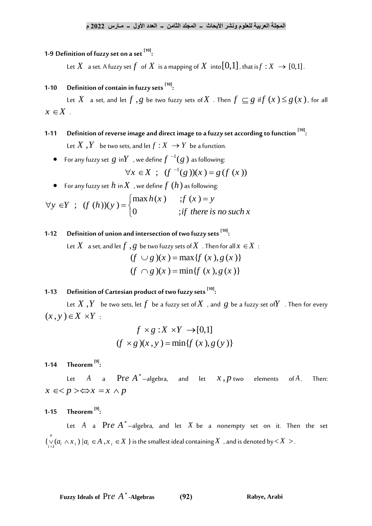#### **1-9 Definition of fuzzy set on a set [10] :**

Let  $X$   $\,$  a set. A fuzzy set  $f\,$  of  $X$  is a mapping of  $X$  into  $[0,1]$  , that is $f:X\,\rightarrow [0,1]$  .

#### **1-10 Definition of contain in fuzzy sets [10] :**

Let  $X$  a set, and let  $f$  ,  $g$  be two fuzzy sets of $X$  . Then  $f \subseteq g$  if  $f(x)$   $\leq$   $g(x)$  , for all  $x \in X$ .

- **1-11 Definition of reverse image and direct image to a fuzzy set according to function [10] :** Let  $X$  ,  $Y$  be two sets, and let  $f: X \to Y$  be a function.
	- $\bullet$   $\;\;$  For any fuzzy set  $\;g\;$  in $Y\;$  , we define  $f\;{}^{-1}(g\;)$  as following: 1 *Y* , we define  $f^{-1}(g)$  as following:<br>  $\forall x \in X$  ;  $(f^{-1}(g))(x) = g(f(x))$
	- $\bullet$  For any fuzzy set  $h$  in $X$  , we define  $f$   $(h)$  as following:

$$
\forall x \in X ; (f^{-1}(g))(x) = g(f(x))
$$
  
\n• For any fuzzy set  $h$  in  $X$ , we define  $f(h)$  as following:  
\n
$$
\forall y \in Y ; (f(h))(y) = \begin{cases} \max h(x) & ; f(x) = y \\ 0 & ; if there is no such x \end{cases}
$$

#### **1-12 Definition of union and intersection of two fuzzy sets [10] :**

Let  $X$   $\,$  a set, and let  $f$   $\, ,g\,$  be two fuzzy sets of  $X\,$  . Then for all  $x\in$   $X\,$   $\, :$ ,  $g$  be two fuzzy sets of  $X$  . Then for all  $x$ <br>  $(f \cup g)(x) = \max\{f(x), g(x)\}$  $(f \cup g)(x) = \max{ f (x), g (x)}$ <br>  $(f \cap g)(x) = \min{ f (x), g (x)}$ 

#### **1-13 Definition of Cartesian product of two fuzzy sets [10] :**

Let  $X$   $, Y$   $\;$  be two sets, let  $f$   $\;$  be a fuzzy set of $X$  , and  $\;g$  be a fuzzy set of $Y$  . Then for every  $(x, y) \in X \times Y$ : :

$$
f \times g : X \times Y \to [0,1]
$$
  
( $f \times g$ )( $x, y$ ) = min{ $f(x), g(y)$ }

**1-14 Theorem [9] :**

Let  $A$  a  $\operatorname{Pre} A^*$ —algebra, and let  $x\,, p$  two elements of of  $A$ . . Then:  $x \in  \Leftrightarrow x=x \wedge p$ 

**1-15 Theorem [9] :**

Let  $A$  a  $\text{Pre } A^*$ —algebra, and let  $X$  be a nonempty set on it. Then the set  $\{ \bigvee_{i=1}^{n} (a_i \wedge x_i) | a_i \in A , x_i \in X \}$  $\bigcup_{i=1}^n (a_i \wedge x_i) \ |a_i \in A|, x_i \in X \ \}$  is the smallest ideal containing  $X$  , and is denoted by  $\lt X > 0$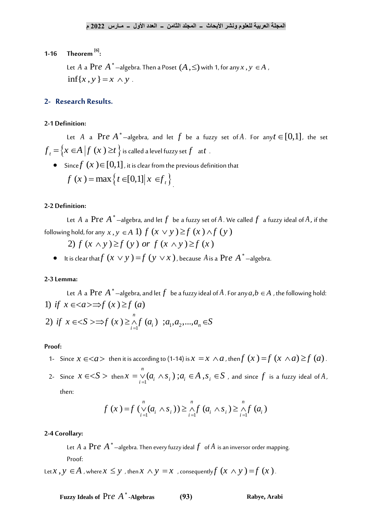#### **1-16 Theorem [6] :**

Let  $A$  a  $Pre\ A$   $^*$  —algebra. Then a Poset  $(A,\leq)$  with 1, for any  $x$  ,  $y\in A$  ,  $\inf\{x, y\} = x \wedge y$ .

### **2- Research Results.**

#### **2-1 Definition:**

Let  $A$  a  $Pre\ A^*$  —algebra, and let  $f$  be a fuzzy set of $A$ . For any $t\in [0,1]$ , the set  $f_{t} = \left\{ x \in A \left| f_{t}(x) \geq t \right. \right\}$  is called a level fuzzy set  $f_{t}$  at  $t$  .

 $\bullet$  Since $f\left( x\right) {\in}\left[ 0,1\right]$  , it is clear from the previous definition that  $f(x) = \max\{t \in [0,1] | x \in f_t\}$ 

#### **2-2 Definition:**

Let  $A$  a  $\text{Pre } A^\ast$  —algebra, and let  $f$  be a fuzzy set of  $A$  . We called  $f$  a fuzzy ideal of  $A$  , if the following hold, for any Let A a PT*e* A -algebra, and let  $f$  be a fuzzy set of A. W<br> *z* hold, for any  $x, y \in A$  1)  $f(x \vee y) \ge f(x) \wedge f(y)$ <br>
2)  $f(x \wedge y) \ge f(y)$  or  $f(x \wedge y) \ge f(x)$ 

2) 
$$
f(x \wedge y) \ge f(y)
$$
 or  $f(x \wedge y) \ge f(x)$ 

• It is clear that  $f(x \vee y) = f(y \vee x)$ , because A is a Pre  $A^*$  –algebra.

#### **2-3 Lemma:**

Let  $A$  a  $\text{Pre } A^\ast$  —algebra, and let  $f^\ast$  be a fuzzy ideal of  $A$  . For any  $a, b \in A$  , the following hold: Let *A* a Pr*e A*<sup>\*</sup>-algebra, and let *f* be a fuzzy ideal of *A* . For<br>
1) if  $x \in \langle a \rangle \Rightarrow f(x) \ge f(a)$ <br>
2) if  $x \in \langle S \rangle \Rightarrow f(x) \ge \bigwedge_{i=1}^{n} f(a_i)$  ;  $a_1, a_2, ..., a_n \in S$ 

2) if 
$$
x \in S \implies f(x) \geq \bigwedge_{i=1}^{n} f(a_i) \; ; a_1, a_2, ..., a_n \in S
$$

#### **Proof:**

- 1- Since  $x\in <\!\!a\!\!>$  then it is according to (1-14) is  $x=x\wedge a$  , then $f\left(x\right)=\!\!f\left(x\wedge a\right)\!\geq\!\!f\left(a\right)$  .
- 2- Since  $x \in S$  > then  $x = \bigvee_{i=1}^{n} (a_i \wedge s_i)$ ;  $a_i \in A$ ,  $s_i \in S$ , and since  $f$  is a fuzzy ideal of  $A$ ,

then:

$$
f(x)=f\left(\bigvee_{i=1}^{n}(a_{i} \wedge s_{i})\right) \geq \bigwedge_{i=1}^{n} f(a_{i} \wedge s_{i}) \geq \bigwedge_{i=1}^{n} f(a_{i})
$$

### **2-4 Corollary:**

Let  $A$  a  $\operatorname{Pre}\, A^*$  —algebra. Then every fuzzy ideal  $f$   $\,$  of  $A$  is an inversor order mapping. Proof:

Let  $x, y \in A$  , where  $x \leq y$  , then  $x \wedge y = x$  , consequently  $f(x \wedge y) = f(x)$  .

**Fuzzy Ideals of** Pr*e A*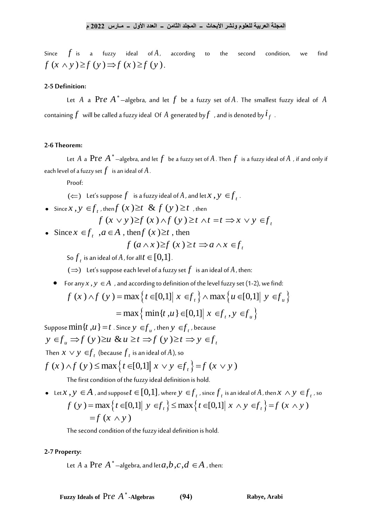Since  $f$  is a fuzzy ideal of $A$ according to the second condition, we find  $f(x \wedge y) \geq f(y) \Rightarrow f(x) \geq f(y)$ .

### **2-5 Definition:**

Let  $A$  a  $\text{Pre } A^*$ —algebra, and let  $f$  be a fuzzy set of $A$ . The smallest fuzzy ideal of  $A$ containing  $f$  will be called a fuzzy ideal Of  $A$  generated by  $f$  , and is denoted by  $\dot{t}_f$  .

#### **2-6 Theorem:**

Let  $A$  a  $\Pr e\; A^*$  —algebra, and let  $f$  be a fuzzy set of  $A$  . Then  $f$  is a fuzzy ideal of  $A$  , if and only if each level of a fuzzy set  $f$   $\,$  is an ideal of  $A$  .

Proof:

- $\phi(\Leftarrow)$  Let's suppose  $f$  is a fuzzy ideal of  $A$  , and let  $x$  ,  $y \in f$ <sub>t</sub>.
- Since  $x$ ,  $y \in f_t$ , then  $f(x) \ge t$  &  $f(y) \ge t$ , then

\n- \n
$$
(\Leftarrow)
$$
 Let's suppose  $f$  is a fuzzy ideal of  $A$ , and let  $x, y \in f_t$ .\n
\n- \n Since  $x, y \in f_t$ , then  $f(x) \geq t$  and  $\& f(y) \geq t$ , then  $f(x \vee y) \geq f(x) \wedge f(y) \geq t \wedge t = t \Rightarrow x \vee y \in f_t$ \n
\n- \n Since  $x \in f_t$ ,  $a \in A$ , then  $f(x) \geq t$ , then  $f(a \wedge x) \geq f(x) \geq t \Rightarrow a \wedge x \in f_t$ \n
\n

$$
f\left(a\wedge x\right)\geq f\left(x\right)\geq t\Rightarrow a\wedge x\in f_{t}
$$

- So  $f_{t}$  is an ideal of  $A$  , for all  $t \in [0,1]$  .
- $(\Rightarrow)$   $\;$  Let's suppose each level of a fuzzy set  $f$   $\;$  is an ideal of  $A$  , then:
- For any  $x$  ,  $y \in A$  , and according to definition of the level fuzzy set (1-2), we find:

(⇒) Let's suppose each level of a fuzzy set *f* is an ideal of *A*, then:  
For any *x*, *y* ∈ *A*, and according to definition of the level fuzzy set (1-2), we find:  

$$
f(x) \land f(y) = \max \{ t \in [0,1] | x \in f_t \} \land \max \{ u \in [0,1] | y \in f_u \}
$$
  
 $= \max \{ \min \{ t, u \} \in [0,1] | x \in f_t, y \in f_u \}$ 

Suppose  $\min\{t, u\} = t$  . Since  $y \in f_u$  , then  $y \in f_t$  , because  $y \in f_u \Rightarrow f(y) \ge u \& u \ge t \Rightarrow f(y) \ge t \Rightarrow y \in f_u$ Then  $x \vee y \in f$ <sub>t</sub> (because  $f$ <sub>t</sub> is an ideal of A), so  $f(x) \wedge f(y) \le \max\{t \in [0,1] | x \vee y \in f_t\} = f(x \vee y)$ 

The first condition of the fuzzy ideal definition is hold.

 $\bullet$  Let  $x$  ,  $y \in A$  , and suppose  $t \in [0,1]$  , where  $y \in f_{t}$  , since  $f_{t}$  is an ideal of  $A$  , then  $x \wedge y \in f_{t}$  , so  $f(y) = \max\{t \in [0,1] | y \in f_t\} \le \max\{t \in [0,1] | x \wedge y \in f_t\} = f(x \wedge y)$  $=f(x \wedge y)$ 

The second condition of the fuzzy ideal definition is hold.

#### **2-7 Property:**

Let  $A$  a  $\text{Pre } A^\ast$  —algebra, and let  $a, b, c, d \in \!A$  , then:

**Fuzzy Ideals of** Pr*e A*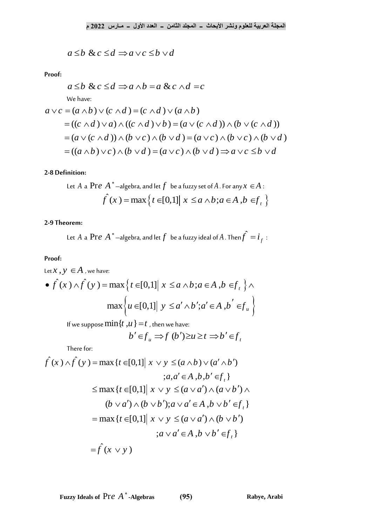$$
a \le b \& c \le d \Rightarrow a \lor c \le b \lor d
$$

**Proof:**

$$
a \le b \& c \le d \Rightarrow a \wedge b = a \& c \wedge d = c
$$

We have:

Proof:  
\n
$$
a \le b \& c \le d \Rightarrow a \land b = a \& c \land d = c
$$
\n
$$
\text{We have:}
$$
\n
$$
a \lor c = (a \land b) \lor (c \land d) = (c \land d) \lor (a \land b)
$$
\n
$$
= ((c \land d) \lor a) \land ((c \land d) \lor b) = (a \lor (c \land d)) \land (b \lor (c \land d))
$$
\n
$$
= (a \lor (c \land d)) \land (b \lor c) \land (b \lor d) = (a \lor c) \land (b \lor c) \land (b \lor d)
$$
\n
$$
= ((a \land b) \lor c) \land (b \lor d) = (a \lor c) \land (b \lor d) \Rightarrow a \lor c \le b \lor d
$$

### **2-8 Definition:**

Let *A* a **Pre** *A*<sup>\*</sup> –**algebra, and let** *f* be a fuzzy set of *A*. For any 
$$
x \in A
$$
:  

$$
\hat{f}(x) = \max \{ t \in [0,1] | x \le a \land b; a \in A, b \in f_t \}
$$

# **2-9 Theorem:**

Let *A* a **Pr** *e A*<sup>\*</sup> –algebra, and let *f* be a fuzzy ideal of *A*. Then 
$$
\hat{f} = i_f
$$
:

# **Proof:**

Proof:  
\nLet 
$$
x, y \in A
$$
, we have:  
\n•  $\hat{f}(x) \wedge \hat{f}(y) = \max \{ t \in [0,1] | x \le a \wedge b; a \in A, b \in f_t \} \wedge \max \{ u \in [0,1] | y \le a' \wedge b'; a' \in A, b' \in f_u \}$ 

If we suppose 
$$
\min\{t, u\} = t
$$
, then we have:  
\n
$$
b' \in f_u \implies f(b') \ge u \ge t \implies b' \in f_t
$$

There for:

$$
a \leq b \& c \leq d \Rightarrow a \lor c \leq b \lor d
$$
  
\nProof:  
\n
$$
a \leq b \& c \leq d \Rightarrow a \land b = a \& c \land d = c
$$
  
\nWe have:  
\n
$$
a \lor c = (a \land b) \lor (c \land d) = (c \land d) \lor (a \land b)
$$
  
\n
$$
= ((c \land d) \lor a) \land ((c \land d) \lor b) = (a \lor (c \land d)) \land (b \lor (c \land d))
$$
  
\n
$$
= (a \lor (c \land d)) \land (b \lor c) \land (b \lor d) = (a \lor c) \land (b \lor c) \land (b \lor d)
$$
  
\n
$$
= ((a \land b) \lor c) \land (b \lor d) = (a \lor c) \land (b \lor d) \Rightarrow a \lor c \leq b \lor d
$$
  
\n2.8 Definition:  
\nLet A a Pre A<sup>\*</sup>-algebra, and let f be a fuzzy set of A. For any x ∈ A:  
\nf<sup>'</sup>(x) = max {t ∈ [0,1] | x ≤ a ∧ b; a ∈ A, b ∈ f,  
\n2.9 Theorem:  
\nLet A a Pre A<sup>\*</sup>-algebra, and let f be a fuzzy ideal of A. Then f<sup>^2</sup> = i<sub>f</sub>:  
\nProof:  
\nLet x, y ∈ A, we have:  
\n
$$
\bullet \int f(x) \land f(y) = max {t ∈ [0,1] | x ≤ a ∧ b; a ∈ A, b ∈ f, }\land max {u ∈ [0,1] | y ≤ a' ∧ b'; a' ∈ A, b' ∈ f,\nH we suppose min{t, u} = t, then we have:\n
$$
b' ∈ f_u ⇒ f (b') ≥ u ≥ t ⇒ b' ∈ f,\nThere for:\nf(x) ∧ f(y) = max {t ∈ [0,1] | x ∨ y ≤ (a ∧ b) ∨ (a' ∧ b')\n
$$
∴ a, a' ∈ A, b, b' ∈ f, }
$$
  
\n
$$
= max {t ∈ [0,1] | x ∨ y ≤ (a ∧ d) ∧ (a ∨ b')\n
$$
∴ b ∨ a' ∨ A(b ∨ b') ; a ∨ a ∈ A, b ∨ b' ∈ f,\n= max {t ∈ [0,1] | x ∨ y ≤ (a ∧ d) ∧ (a ∨ b')\n<
$$
$$
$$
$$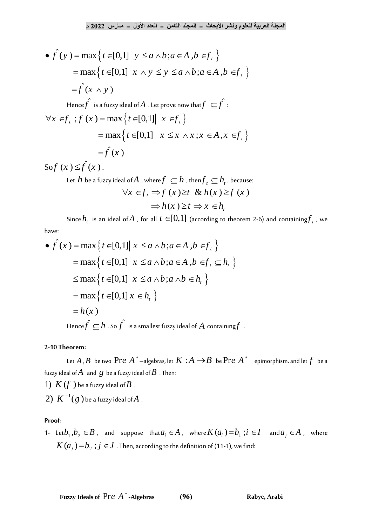$$
\mathbf{P}(y) = \max \left\{ t \in [0,1] \mid y \le a \land b; a \in A, b \in f_t \right\}
$$
\n
$$
\mathbf{P}(y) = \max \left\{ t \in [0,1] \mid y \le a \land b; a \in A, b \in f_t \right\}
$$
\n
$$
= \max \left\{ t \in [0,1] \mid x \land y \le y \le a \land b; a \in A, b \in f_t \right\}
$$
\n
$$
= \int f(x \land y)
$$
\nHence  $\hat{f}$  is a fuzzy ideal of  $A$ . Let prove now that  $f \subseteq \hat{f}$ :\n
$$
\forall x \in f_t; f(x) = \max \left\{ t \in [0,1] \mid x \in f_t \right\}
$$
\n
$$
= \max \left\{ t \in [0,1] \mid x \le x \land x; x \in A, x \in f_t \right\}
$$
\n
$$
= \int f(x)
$$

Sof  $(x) \leq f(x)$ .

Let  $h$  be a fuzzy ideal of  $A$  , where  $f \subseteq h$  , then  $f_t \subseteq h_t$ , because:<br>  $\forall x \in f_t \implies f(x) \ge t \& h(x) \ge f(x)$  $f(x) \geq t \& h(x)$ <br>  $h(x) \geq t \Rightarrow x \in h$ *t*  $\Rightarrow$  f (x)  $\geq t$  & h(x)  $\geq f$ <br>  $\Rightarrow$  h(x)  $\geq t$   $\Rightarrow$  x  $\in$  h<sub>t</sub>

Since  $h_t$  is an ideal of *A*, for all  $t \in [0,1]$  (according to theorem 2-6) and containing  $f_t$ , we have:<br>  $\bullet \hat{f}(x) = \max \Big\{ t \in [0,1] \Big| \ x \le a \wedge b; a \in A, b \in f_t \Big\}$ have:

$$
\begin{aligned}\n\bullet \hat{f}(x) &= \max \left\{ t \in [0,1] \middle| \ x \le a \land b; a \in A, b \in f_t \right\} \\
&= \max \left\{ t \in [0,1] \middle| \ x \le a \land b; a \in A, b \in f_t \subseteq h_t \right\} \\
&\le \max \left\{ t \in [0,1] \middle| \ x \le a \land b; a \land b \in h_t \right\} \\
&= \max \left\{ t \in [0,1] \middle| x \in h_t \right\} \\
&= h(x) \\
\text{Hence } \hat{f} \subseteq h \text{ . So } \hat{f} \text{ is a smallest fuzzy ideal of } A \text{ containing } f.\n\end{aligned}
$$

#### **2-10 Theorem:**

Let  $A$  ,  $B$  be two  $\Pr{e \: A}^*$  —algebras, let  $K : A \rightarrow B$  be  $\Pr{e \: A}^*$  epimorphism, and let  $f$  be a fuzzy ideal of $A$   $\,$  and  $\,g\,$  be a fuzzy ideal of  $B\,$  . Then:

1)  $K(f)$  be a fuzzy ideal of  $B$ .

 $2) \; K^{-1}(g$  ) be a fuzzy ideal of $A$  .

### **Proof:**

1- Let $b_1, b_2 \in B$  , and suppose that $a_i \in A$  , where  $K(a_i) = b_1$  ; $i \in I$  and  $a_j \in A$  , where  $K(a_j)$   $=$   $b_2$   $; j \in J$  . Then, according to the definition of (11-1), we find: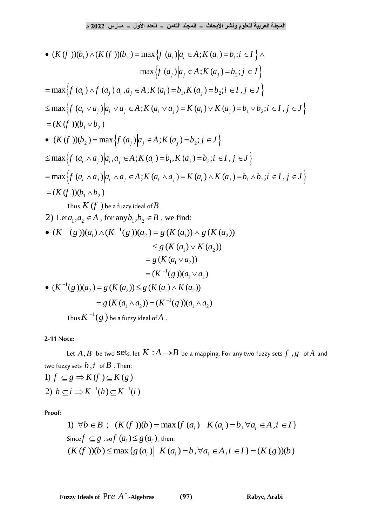$$
e^{i2022} \cdot \frac{1}{2} \cdot \frac{1}{2} \cdot \frac{1}{2} \cdot \frac{1}{2} \cdot \frac{1}{2} \cdot \frac{1}{2} \cdot \frac{1}{2} \cdot \frac{1}{2} \cdot \frac{1}{2} \cdot \frac{1}{2} \cdot \frac{1}{2} \cdot \frac{1}{2} \cdot \frac{1}{2} \cdot \frac{1}{2} \cdot \frac{1}{2} \cdot \frac{1}{2} \cdot \frac{1}{2} \cdot \frac{1}{2} \cdot \frac{1}{2} \cdot \frac{1}{2} \cdot \frac{1}{2} \cdot \frac{1}{2} \cdot \frac{1}{2} \cdot \frac{1}{2} \cdot \frac{1}{2} \cdot \frac{1}{2} \cdot \frac{1}{2} \cdot \frac{1}{2} \cdot \frac{1}{2} \cdot \frac{1}{2} \cdot \frac{1}{2} \cdot \frac{1}{2} \cdot \frac{1}{2} \cdot \frac{1}{2} \cdot \frac{1}{2} \cdot \frac{1}{2} \cdot \frac{1}{2} \cdot \frac{1}{2} \cdot \frac{1}{2} \cdot \frac{1}{2} \cdot \frac{1}{2} \cdot \frac{1}{2} \cdot \frac{1}{2} \cdot \frac{1}{2} \cdot \frac{1}{2} \cdot \frac{1}{2} \cdot \frac{1}{2} \cdot \frac{1}{2} \cdot \frac{1}{2} \cdot \frac{1}{2} \cdot \frac{1}{2} \cdot \frac{1}{2} \cdot \frac{1}{2} \cdot \frac{1}{2} \cdot \frac{1}{2} \cdot \frac{1}{2} \cdot \frac{1}{2} \cdot \frac{1}{2} \cdot \frac{1}{2} \cdot \frac{1}{2} \cdot \frac{1}{2} \cdot \frac{1}{2} \cdot \frac{1}{2} \cdot \frac{1}{2} \cdot \frac{1}{2} \cdot \frac{1}{2} \cdot \frac{1}{2} \cdot \frac{1}{2} \cdot \frac{1}{2} \cdot \frac{1}{2} \cdot \frac{1}{2} \cdot \frac{1}{2} \cdot \frac{1}{2} \cdot \frac{1}{2} \cdot \frac{1}{2} \cdot \frac{1}{2} \cdot \frac{1}{2} \cdot \frac{1}{2} \cdot \frac{1}{2} \cdot \frac{1}{2} \cdot \frac{1}{2} \cdot \frac{1}{2} \cdot \frac{1}{2} \cdot \
$$

Thus  $K^{\scriptscriptstyle -1}(g$  ) be a fuzzy ideal of $A$  .

# **2-11 Note:**

Let  $A$  , $B$  be two S $\operatorname{\sf e}$ ts, let  $K$   $:A$   $\longrightarrow$   $B$  be a mapping. For any two fuzzy sets  $f$  ,  $g$   $\;$  of  $A$  and two fuzzy sets  $h$  ,  $i$   $\,$  of  $B$  . Then: 2)  $h \subseteq i \Rightarrow K^{-1}(h) \subseteq K^{-1}(i)$ two tuzzy sets  $h, i$  of  $B$  . Then:<br>1)  $f \subseteq g \Rightarrow K(f) \subseteq K(g)$ 

**Proof:**

$$
\begin{aligned}\n\exists i &\Rightarrow K^{-1}(h) \subseteq K^{-1}(i) \\
1) \quad \forall b \in B; \quad (K(f \cdot))(b) = \max\{f(a_i) \mid K(a_i) = b, \forall a_i \in A, i \in I\} \\
\text{Since } f \subseteq g \text{, so } f(a_i) \le g(a_i) \text{, then:} \\
(K(f \cdot))(b) &\le \max\{g(a_i) \mid K(a_i) = b, \forall a_i \in A, i \in I\} = (K(g \cdot))(b)\n\end{aligned}
$$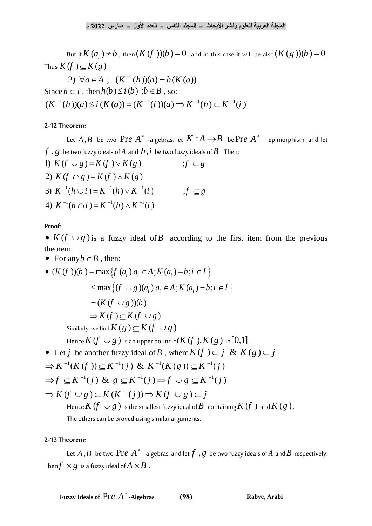But if  $K(a_i) \neq b$  , then  $(K(f)) (b) = 0$  , and in this case it will be also  $(K(g)) (b) = 0$  . Thus  $K(f) \subseteq K(g)$ 

1  $(f) \subseteq K(g)$ <br>2)  $\forall a \in A$ ;  $(K^{-1}(h))(a) = h(K(a))$ Since  $h \subseteq i$ , then  $h(b) \le i(b)$ ;  $b \in B$ , so:  $(K^{-1}(h))(a) \leq i (K(a)) = (K^{-1}(i))(a) \Rightarrow K^{-1}(h) \subset K^{-1}(i)$ 

#### **2-12 Theorem:**

Let  $A$  , $B$  be two  $\operatorname{Pre} A^*$ —algebras, let  $K$   $:A$   $\rightarrow$   $B$  be  $\operatorname{Pre} A^*$  epimorphism, and let  $f\;,g\;$  be two fuzzy ideals of  $A$  and  $\,h\,,i\;$  be two fuzzy ideals of  $B\,$  . Then: Let  $A, B$  be two  $\Gamma$  if  $e$   $A$  -algebras, let  $K, A \rightarrow B$ <br> *f*, *g* be two fuzzy ideals of *A* and *h*, *i* be two fuzzy ideals of *B*.<br>
1)  $K(f \cup g) = K(f) \vee K(g)$  ;  $f \subseteq g$ 

 $f \cap g$ ) = K ( $f$ )  $\wedge$  K ( $g$ )<br> $f^{-1}(h \cup i) = K^{-1}(h) \vee K^{-1}$  $f(h \cup i) = K^{-1}(h) \vee K^{-1}$ <br> $f(h \cap i) = K^{-1}(h) \wedge K^{-1}$ 2)  $K(f \cup g) = K(f) \vee K(g)$ <br>
2)  $K(f \cap g) = K(f) \wedge K(g)$ 2)  $K(f \cap g) = K(f) \wedge K(g)$ <br>3)  $K^{-1}(h \cup i) = K^{-1}(h) \vee K^{-1}(i)$   $if \subseteq g$ 3)  $K^{-1}(h \cup i) = K^{-1}(h) \vee K^{-1}(i)$ <br>
4)  $K^{-1}(h \cap i) = K^{-1}(h) \wedge K^{-1}(i)$  $(f \cap g) = K(f) \wedge K(g)$ <br> $(g^{-1}(h) \vee k^{-1}(h) \vee K^{-1}(i))$  $f(h \cup i) = K^{-1}(h) \vee K^{-1}(i)$ <br> $f^{-1}(h \cap i) = K^{-1}(h) \wedge K^{-1}(i)$  $(g) = K(f) \wedge K(g)$ <br>  $\cup i$ ) = K<sup>-1</sup>(h)  $\vee$  K<sup>-1</sup>(i) <br>  $\qquad \qquad$  ; f ⊆ g ∪ *i* ) =  $K^{-1}(h) \vee K^{-1}(i)$ <br>∩ *i* ) =  $K^{-1}(h) \wedge K^{-1}(i)$ 

**Proof:**

•  $K(f \cup g)$  is a fuzzy ideal of *B* according to the first item from the previous theorem.

• For any  $b \in B$ , then: theorem.<br>
• For any  $b \in B$ , then:<br>
•  $(K(f)) (b) = \max \{ f (a_i) | a_i \in A ; K (a_i) = b ; i \in I \}$  $\max \{ f (a_i) | a_i \in A ; K (a_i) = b ; i \in I \}$ <br>  $\max \{ (f \cup g) (a_i) | a_i \in A ; K (a_i) = b ; i \in I \}$  $\max \{ f (a_i) | a_i \in A ; K (a_i) = b ; i \in I \}$ <br>  $\max \{ (f \cup g) (a_i) | a_i \in A ; K (a_i) = b ; i \in I \}$ <br>  $(K (f \cup g)) (b)$  $\exists$  inax $\{0 \leq g \}$  $(a_i) a_i \in A$ ,  $F$ <br>  $\Rightarrow$   $(K(f \cup g))(b)$ <br>  $\Rightarrow$   $K(f) \subseteq K(f \cup g)$  $\max \{ (f \cup g) 0 \}$ <br>*K*  $(f \cup g) 0$ = max { $f (a_i) | a_i \in A; K (a_i) = b; i \in I$ }<br>  $\leq$  max { $(f \cup g)(a_i) | a_i \in A; K (a_i) = b; i \in I$ }  $\leq \max \big\{ (f \cup g)(a_i)$ <br>=  $(K (f \cup g))(b)$ Similarly, we find  $K(g) \subseteq K(f \cup g)$ Hence  $K$   $(f\,\cup g\,)$  is an upper bound of  $K$   $(f\ ),$   $K$   $(g\ )$  in $[0,1]$  . Hence **A**  $(y \cup g)$  is an upper bound of **A**  $(y \cup s, \mathbf{A} \setminus (g)$  in [0,1].<br>
• Let  $j$  be another fuzzy ideal of  $B$ , where  $K(f) \subseteq j$  &  $K(g) \subseteq j$ . j be another fuzzy ideal of B, where  $K(f)$ <br><sup>1</sup>(K (f))  $\subset K^{-1}(i)$  &  $K^{-1}(K(g)) \subset K^{-1}$  $(f)) \subseteq K^{-1}(j)$  &  $K^{-1}(K(g)) \subseteq K^{-1}(i)$ <br> $\frac{1}{2}(j)$  &  $g \subset K^{-1}(i) \Rightarrow f \cup g \subset K^{-1}(i)$ 1 Hence **K**  $(f \cup g)$  is an upper bound of **K**  $(f \cup K \cup g)$ <br>
Let  $j$  be another fuzzy ideal of  $B$ , where  $K(f) \subseteq j$ <br>  $K^{-1}(K(f)) \subseteq K^{-1}(j)$  &  $K^{-1}(K(g)) \subseteq K^{-1}(j)$  $K^{-1}(K(f)) \subseteq K^{-1}(j)$  &  $K^{-1}(K(g)) \subseteq K^{-1}(j)$ <br> $f \subseteq K^{-1}(j)$  &  $g \subseteq K^{-1}(j) \Rightarrow f \cup g \subseteq K^{-1}(j)$  $f \subseteq K^{-1}(j)$  &  $g \subseteq K^{-1}(j) \Rightarrow f \cup g \subseteq K$ <br>  $K(f \cup g) \subseteq K(K^{-1}(j)) \Rightarrow K(f \cup g) \subseteq j$ t *j* be another fuzzy ideal of *B*, where  $K(f) \subseteq j$ <br> $K^{-1}(K(f)) \subset K^{-1}(j)$  &  $K^{-1}(K(g)) \subset K^{-1}(j)$  $(f)) \subseteq K^{-1}(j)$  &  $K^{-1}(K(g)) \subseteq K^{-1}(j)$ <br> $K^{-1}(i)$  &  $g \subset K^{-1}(i) \Rightarrow f \cup g \subset K^{-1}(i)$  $\overline{a}$ Hence  $K(f \cup g)$  is an upper bound of  $K(f)$ ,  $K(g)$  i<br>  $\bullet$  Let  $j$  be another fuzzy ideal of  $B$ , where  $K(f) \subseteq j$ <br>  $\Rightarrow K^{-1}(K(f)) \subseteq K^{-1}(j)$  &  $K^{-1}(K(g)) \subseteq K^{-1}(j)$  $\Rightarrow K^{-1}(K(f)) \subseteq K^{-1}(j)$  &  $K^{-1}(K(g)) \subseteq K^{-1}(j)$ <br>  $\Rightarrow f \subseteq K^{-1}(j)$  &  $g \subseteq K^{-1}(j) \Rightarrow f \cup g \subseteq K^{-1}(j)$  $\Rightarrow K \text{ (iv)} \text{ is } K^{-1}(j) \text{ and } K \text{ (iv)} \Rightarrow$ <br>  $\Rightarrow f \subseteq K^{-1}(j) \text{ and } g \subseteq K^{-1}(j) \Rightarrow f \cup g \subseteq K^{-1}(j)$ <br>  $\Rightarrow K(f \cup g) \subseteq K(K^{-1}(j)) \Rightarrow K(f \cup g) \subseteq j$ Hence  $K$   $(f\,\cup g\,)$  is the smallest fuzzy ideal of  $B\;$  containing  $K$   $(f\;)$  and  $K$   $(g\,)$  .

The others can be proved using similar arguments.

#### **2-13 Theorem:**

Let  $A$  ,  $B$  be two  $\text{Pre } A^\ast$  –algebras, and let  $f$  ,  $g$  be two fuzzy ideals of  $A$  and  $B$  respectively. Then $f \times g$  is a fuzzy ideal of  $A \times B$  .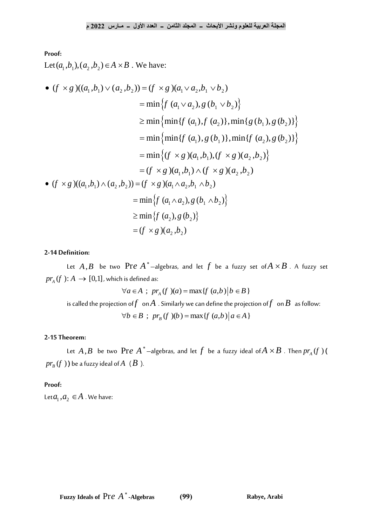# **Proof:**

Let  $(a_1, b_1), (a_2, b_2) \in A \times B$ . We have:

Proof:  
\nLet 
$$
(a_1, b_1), (a_2, b_2) \in A \times B
$$
. We have:  
\n•  $(f \times g)((a_1, b_1) \vee (a_2, b_2)) = (f \times g)(a_1 \vee a_2, b_1 \vee b_2)$   
\n $= \min \{ f (a_1 \vee a_2), g (b_1 \vee b_2) \}$   
\n $\geq \min \{ \min \{ f (a_1), f (a_2) \}, \min \{ g (b_1), g (b_2) \} \}$   
\n $= \min \{ \min \{ f (a_1), g (b_1) \}, \min \{ f (a_2), g (b_2) \} \}$   
\n $= \min \{ (f \times g)(a_1, b_1), (f \times g)(a_2, b_2) \}$   
\n $= (f \times g)(a_1, b_1) \wedge (f \times g)(a_2, b_2)$   
\n•  $(f \times g)((a_1, b_1) \wedge (a_2, b_2)) = (f \times g)(a_1 \wedge a_2, b_1 \wedge b_2)$   
\n $= \min \{ f (a_1 \wedge a_2), g (b_1 \wedge b_2) \}$   
\n $\geq \min \{ f (a_2), g (b_2) \}$   
\n $= (f \times g)(a_2, b_2)$ 

# **2-14 Definition:**

Let  $A$  ,  $B$  be two  $\Pr e$   $A^*$  —algebras, and let  $f$  be a fuzzy set of $A \times B$  . A fuzzy set  $pr_A(f): A \to [0,1]$ , which is defined as:<br> $\forall a \in A \; ; \; pr_A(f)(a) = \max\{f(a,b) | b \in B\}$ 

$$
\forall a \in A \; ; \; pr_A(f)(a) = \max\{f(a,b) \mid b \in B\}
$$

is called the projection of *f* on *A* . Similarly we can define the projection of *f* on *B* as follow:<br>  $\forall b \in B$ ;  $pr_B(f)(b) = \max\{f(a,b) | a \in A\}$ 

$$
\forall b \in B \; ; \; pr_{B}(f \;)(b) = \max\{f(a,b) \, | \, a \in A\}
$$

#### **2-15 Theorem:**

Let  $A$  , $B$  be two  $\Pr{e|A^*}$ —algebras, and let  $f$  be a fuzzy ideal of $A \times B$  . Then  $pr_{\!{}_A}(f$  )  $\!$  $pr_{\overline{B}}(f)$  ) be a fuzzy ideal of  $A^-(B)$ .

### **Proof:**

Let  $a_1, a_2 \in A$  . We have: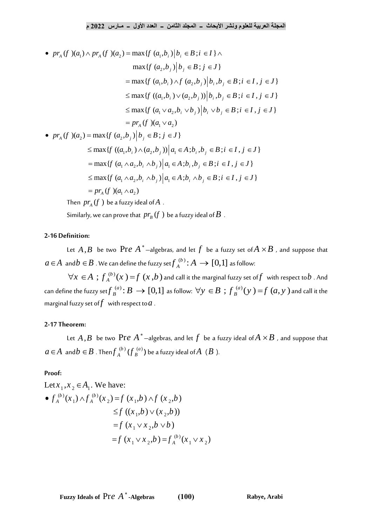\n
$$
\text{Max}(f)(a_1) \wedge \text{pr}_A(f)(a_2) = \max\{f(a_1, b_i) | b_i \in B; i \in I\} \wedge
$$
\n

\n\n $\text{max}\{f(a_1, b_i) | b_i \in B; i \in I\} \wedge$ \n

\n\n $\text{max}\{f(a_2, b_j) | b_j \in B; j \in J\}$ \n

\n\n $= \max\{f(a_1, b_i) \wedge f(a_2, b_j) | b_i, b_j \in B; i \in I, j \in J\}$ \n

\n\n $\leq \max\{f((a_1, b_i) \vee (a_2, b_j)) | b_i, b_j \in B; i \in I, j \in J\}$ \n

\n\n $\leq \max\{f(a_1 \vee a_2, b_i \vee b_j) | b_i \vee b_j \in B; i \in I, j \in J\}$ \n

\n\n $= \text{pr}_A(f)(a_1 \vee a_2)$ \n

\n\n $\text{pr}_A(f)(a_2) = \max\{f(a_2, b_j) | b_j \in B; j \in J\}$ \n

2) = max ${f(a_2)}$ 

$$
= pr_A (f)(a_1 \vee a_2)
$$
  
\n
$$
F_A (f)(a_2) = \max \{ f (a_2, b_j) | b_j \in B; j \in J \}
$$
  
\n
$$
\leq \max \{ f ((a_1, b_i) \wedge (a_2, b_j)) | a_1 \in A; b_i, b_j \in B; i \in I, j \in J \}
$$
  
\n
$$
= \max \{ f (a_1 \wedge a_2, b_i \wedge b_j) | a_1 \in A; b_i, b_j \in B; i \in I, j \in J \}
$$
  
\n
$$
\leq \max \{ f (a_1 \wedge a_2, b_i \wedge b_j) | a_1 \in A; b_i \wedge b_j \in B; i \in I, j \in J \}
$$
  
\n
$$
= pr_A (f)(a_1 \wedge a_2)
$$

Then  $\mathop{pr}\nolimits_{A}(f$  ) be a fuzzy ideal of  $A$  .

Similarly, we can prove that  $\,pr_{\scriptscriptstyle B}(f\,)$  be a fuzzy ideal of  $B\,$  .

# **2-16 Definition:**

Let  $A$  , $B$  be two  $\Pr e$   $A$   $^*$  —algebras, and let  $f$  be a fuzzy set of $A \times B$  , and suppose that  $a \! \in \! A$  and  $b \in B$  . We can define the fuzzy set ${f_A}^{(b)} \! : \! A \rightarrow [0,1]$  as follow:

 $\forall x \in A$ ;  $f_A^{(b)}(x) = f(x,b)$  and call it the marginal fuzzy set of f with respect to b. And  $\forall x \in A$ ,  $\bigcup_{A} (\{x\} - f)(x, b)$  and call it the marginal fuzzy set of f with respect to  $b$ . And can define the fuzzy set  $f_B^{(a)}$ :  $B \to [0,1]$  as follow:  $\forall y \in B$ ;  $f_B^{(a)}(y) = f(a, y)$  and call it the marginal fuzzy set of $f$  with respect to  $a$  .

### **2-17 Theorem:**

Let  $A$  , $B$  be two  $\Pr e$   $A$   $^*$  —algebras, and let  $f$  be a fuzzy ideal of $A \times B$  , and suppose that  $a \,{\in}\, A$  and $b \in B$  . Then $f_A^{~(b)}$  $f_A^{(b)}$  ( $f_B^{(a)}$  $f_{\stackrel{(a)}{B}}^{(a)}$  ) be a fuzzy ideal of $A$   $\ (B$  ).

### **Proof:**

Let 
$$
x_1, x_2 \in A_1
$$
. We have:  
\n•  $f_A^{(b)}(x_1) \wedge f_A^{(b)}(x_2) = f(x_1, b) \wedge f(x_2, b)$   
\n $\leq f((x_1, b) \vee (x_2, b))$   
\n $= f(x_1 \vee x_2, b \vee b)$   
\n $= f(x_1 \vee x_2, b) = f_A^{(b)}(x_1 \vee x_2)$